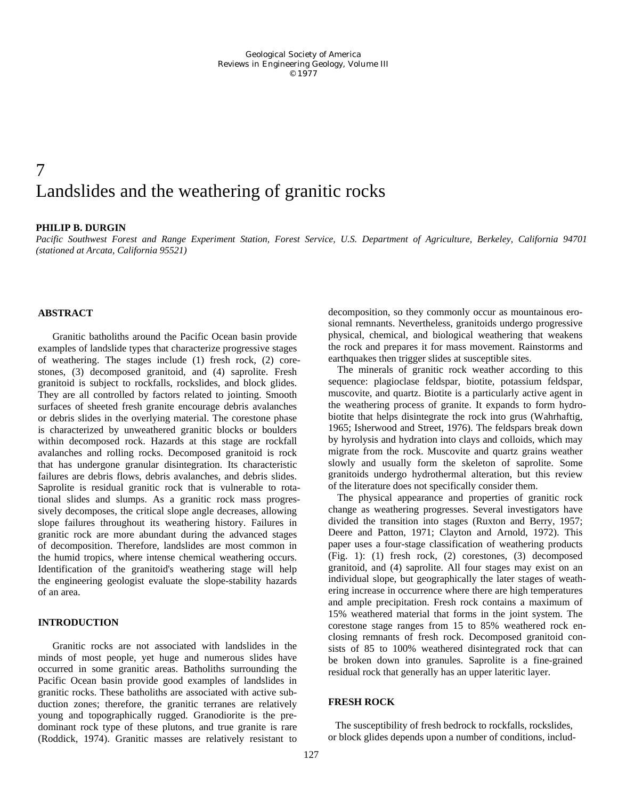# 7 Landslides and the weathering of granitic rocks

# **PHILIP B. DURGIN**

*Pacific Southwest Forest and Range Experiment Station, Forest Service, U.S. Department of Agriculture, Berkeley, California 94701 (stationed at Arcata, California 95521)* 

### **ABSTRACT**

Granitic batholiths around the Pacific Ocean basin provide examples of landslide types that characterize progressive stages of weathering. The stages include (1) fresh rock, (2) corestones, (3) decomposed granitoid, and (4) saprolite. Fresh granitoid is subject to rockfalls, rockslides, and block glides. They are all controlled by factors related to jointing. Smooth surfaces of sheeted fresh granite encourage debris avalanches or debris slides in the overlying material. The corestone phase is characterized by unweathered granitic blocks or boulders within decomposed rock. Hazards at this stage are rockfall avalanches and rolling rocks. Decomposed granitoid is rock that has undergone granular disintegration. Its characteristic failures are debris flows, debris avalanches, and debris slides. Saprolite is residual granitic rock that is vulnerable to rotational slides and slumps. As a granitic rock mass progressively decomposes, the critical slope angle decreases, allowing slope failures throughout its weathering history. Failures in granitic rock are more abundant during the advanced stages of decomposition. Therefore, landslides are most common in the humid tropics, where intense chemical weathering occurs. Identification of the granitoid's weathering stage will help the engineering geologist evaluate the slope-stability hazards of an area.

# **INTRODUCTION**

Granitic rocks are not associated with landslides in the minds of most people, yet huge and numerous slides have occurred in some granitic areas. Batholiths surrounding the Pacific Ocean basin provide good examples of landslides in granitic rocks. These batholiths are associated with active subduction zones; therefore, the granitic terranes are relatively young and topographically rugged. Granodiorite is the predominant rock type of these plutons, and true granite is rare (Roddick, 1974). Granitic masses are relatively resistant to

decomposition, so they commonly occur as mountainous erosional remnants. Nevertheless, granitoids undergo progressive physical, chemical, and biological weathering that weakens the rock and prepares it for mass movement. Rainstorms and earthquakes then trigger slides at susceptible sites.

The minerals of granitic rock weather according to this sequence: plagioclase feldspar, biotite, potassium feldspar, muscovite, and quartz. Biotite is a particularly active agent in the weathering process of granite. It expands to form hydrobiotite that helps disintegrate the rock into grus (Wahrhaftig, 1965; Isherwood and Street, 1976). The feldspars break down by hyrolysis and hydration into clays and colloids, which may migrate from the rock. Muscovite and quartz grains weather slowly and usually form the skeleton of saprolite. Some granitoids undergo hydrothermal alteration, but this review of the literature does not specifically consider them.

The physical appearance and properties of granitic rock change as weathering progresses. Several investigators have divided the transition into stages (Ruxton and Berry, 1957; Deere and Patton, 1971; Clayton and Arnold, 1972). This paper uses a four-stage classification of weathering products (Fig. 1): (1) fresh rock, (2) corestones, (3) decomposed granitoid, and (4) saprolite. All four stages may exist on an individual slope, but geographically the later stages of weathering increase in occurrence where there are high temperatures and ample precipitation. Fresh rock contains a maximum of 15% weathered material that forms in the joint system. The corestone stage ranges from 15 to 85% weathered rock enclosing remnants of fresh rock. Decomposed granitoid consists of 85 to 100% weathered disintegrated rock that can be broken down into granules. Saprolite is a fine-grained residual rock that generally has an upper lateritic layer.

### **FRESH ROCK**

The susceptibility of fresh bedrock to rockfalls, rockslides, or block glides depends upon a number of conditions, includ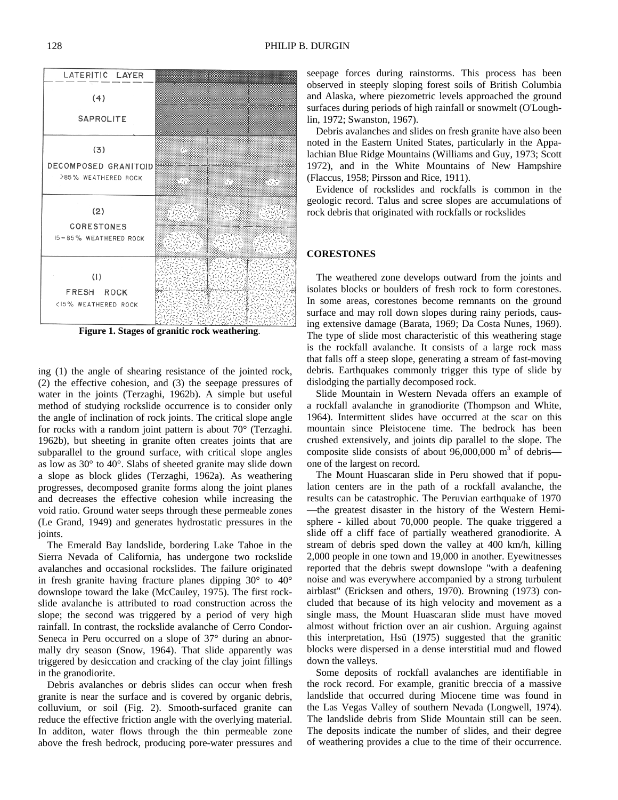ing (1) the angle of shearing resistance of the jointed rock, (2) the effective cohesion, and (3) the seepage pressures of water in the joints (Terzaghi, 1962b). A simple but useful method of studying rockslide occurrence is to consider only the angle of inclination of rock joints. The critical slope angle for rocks with a random joint pattern is about 70° (Terzaghi. 1962b), but sheeting in granite often creates joints that are subparallel to the ground surface, with critical slope angles as low as 30° to 40°. Slabs of sheeted granite may slide down a slope as block glides (Terzaghi, 1962a). As weathering progresses, decomposed granite forms along the joint planes and decreases the effective cohesion while increasing the void ratio. Ground water seeps through these permeable zones (Le Grand, 1949) and generates hydrostatic pressures in the joints.

The Emerald Bay landslide, bordering Lake Tahoe in the Sierra Nevada of California, has undergone two rockslide avalanches and occasional rockslides. The failure originated in fresh granite having fracture planes dipping  $30^{\circ}$  to  $40^{\circ}$ downslope toward the lake (McCauley, 1975). The first rockslide avalanche is attributed to road construction across the slope; the second was triggered by a period of very high rainfall. In contrast, the rockslide avalanche of Cerro Condor-Seneca in Peru occurred on a slope of 37° during an abnormally dry season (Snow, 1964). That slide apparently was triggered by desiccation and cracking of the clay joint fillings in the granodiorite.

Debris avalanches or debris slides can occur when fresh granite is near the surface and is covered by organic debris, colluvium, or soil (Fig. 2). Smooth-surfaced granite can reduce the effective friction angle with the overlying material. In additon, water flows through the thin permeable zone above the fresh bedrock, producing pore-water pressures and

seepage forces during rainstorms. This process has been observed in steeply sloping forest soils of British Columbia and Alaska, where piezometric levels approached the ground surfaces during periods of high rainfall or snowmelt (O'Loughlin, 1972; Swanston, 1967).

Debris avalanches and slides on fresh granite have also been noted in the Eastern United States, particularly in the Appalachian Blue Ridge Mountains (Williams and Guy, 1973; Scott 1972), and in the White Mountains of New Hampshire (Flaccus, 1958; Pirsson and Rice, 1911).

Evidence of rockslides and rockfalls is common in the geologic record. Talus and scree slopes are accumulations of rock debris that originated with rockfalls or rockslides

### **CORESTONES**

The weathered zone develops outward from the joints and isolates blocks or boulders of fresh rock to form corestones. In some areas, corestones become remnants on the ground surface and may roll down slopes during rainy periods, causing extensive damage (Barata, 1969; Da Costa Nunes, 1969). The type of slide most characteristic of this weathering stage is the rockfall avalanche. It consists of a large rock mass that falls off a steep slope, generating a stream of fast-moving debris. Earthquakes commonly trigger this type of slide by dislodging the partially decomposed rock.

Slide Mountain in Western Nevada offers an example of a rockfall avalanche in granodiorite (Thompson and White, 1964). Intermittent slides have occurred at the scar on this mountain since Pleistocene time. The bedrock has been crushed extensively, and joints dip parallel to the slope. The composite slide consists of about  $96,000,000$  m<sup>3</sup> of debris one of the largest on record.

The Mount Huascaran slide in Peru showed that if population centers are in the path of a rockfall avalanche, the results can be catastrophic. The Peruvian earthquake of 1970 —the greatest disaster in the history of the Western Hemisphere - killed about 70,000 people. The quake triggered a slide off a cliff face of partially weathered granodiorite. A stream of debris sped down the valley at 400 km/h, killing 2,000 people in one town and 19,000 in another. Eyewitnesses reported that the debris swept downslope "with a deafening noise and was everywhere accompanied by a strong turbulent airblast" (Ericksen and others, 1970). Browning (1973) concluded that because of its high velocity and movement as a single mass, the Mount Huascaran slide must have moved almost without friction over an air cushion. Arguing against this interpretation, Hsü (1975) suggested that the granitic blocks were dispersed in a dense interstitial mud and flowed down the valleys.

Some deposits of rockfall avalanches are identifiable in the rock record. For example, granitic breccia of a massive landslide that occurred during Miocene time was found in the Las Vegas Valley of southern Nevada (Longwell, 1974). The landslide debris from Slide Mountain still can be seen. The deposits indicate the number of slides, and their degree of weathering provides a clue to the time of their occurrence.

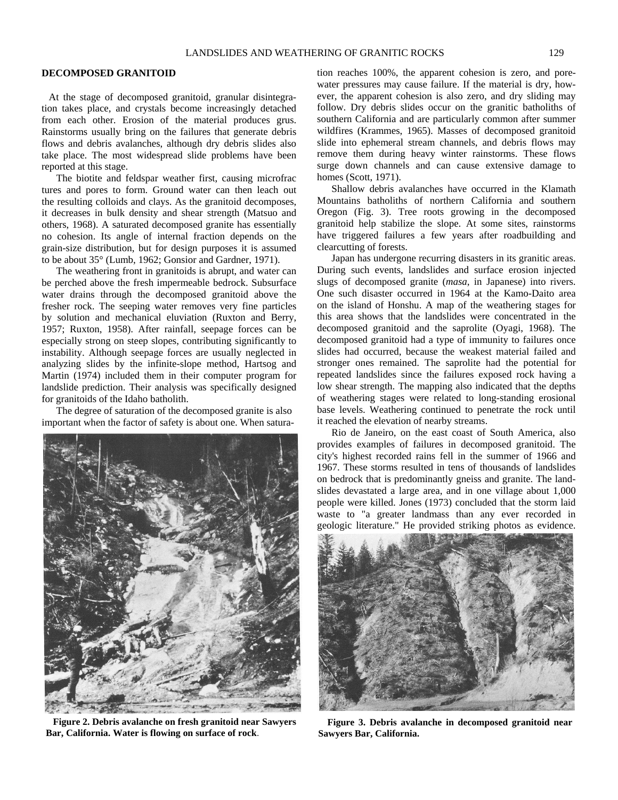### **DECOMPOSED GRANITOID**

At the stage of decomposed granitoid, granular disintegration takes place, and crystals become increasingly detached from each other. Erosion of the material produces grus. Rainstorms usually bring on the failures that generate debris flows and debris avalanches, although dry debris slides also take place. The most widespread slide problems have been reported at this stage.

The biotite and feldspar weather first, causing microfrac tures and pores to form. Ground water can then leach out the resulting colloids and clays. As the granitoid decomposes, it decreases in bulk density and shear strength (Matsuo and others, 1968). A saturated decomposed granite has essentially no cohesion. Its angle of internal fraction depends on the grain-size distribution, but for design purposes it is assumed to be about 35° (Lumb, 1962; Gonsior and Gardner, 1971).

The weathering front in granitoids is abrupt, and water can be perched above the fresh impermeable bedrock. Subsurface water drains through the decomposed granitoid above the fresher rock. The seeping water removes very fine particles by solution and mechanical eluviation (Ruxton and Berry, 1957; Ruxton, 1958). After rainfall, seepage forces can be especially strong on steep slopes, contributing significantly to instability. Although seepage forces are usually neglected in analyzing slides by the infinite-slope method, Hartsog and Martin (1974) included them in their computer program for landslide prediction. Their analysis was specifically designed for granitoids of the Idaho batholith.

The degree of saturation of the decomposed granite is also important when the factor of safety is about one. When satura-



**Figure 2. Debris avalanche on fresh granitoid near Sawyers Bar, California. Water is flowing on surface of rock**.

tion reaches 100%, the apparent cohesion is zero, and porewater pressures may cause failure. If the material is dry, however, the apparent cohesion is also zero, and dry sliding may follow. Dry debris slides occur on the granitic batholiths of southern California and are particularly common after summer wildfires (Krammes, 1965). Masses of decomposed granitoid slide into ephemeral stream channels, and debris flows may remove them during heavy winter rainstorms. These flows surge down channels and can cause extensive damage to homes (Scott, 1971).

Shallow debris avalanches have occurred in the Klamath Mountains batholiths of northern California and southern Oregon (Fig. 3). Tree roots growing in the decomposed granitoid help stabilize the slope. At some sites, rainstorms have triggered failures a few years after roadbuilding and clearcutting of forests.

Japan has undergone recurring disasters in its granitic areas. During such events, landslides and surface erosion injected slugs of decomposed granite (*masa*, in Japanese) into rivers. One such disaster occurred in 1964 at the Kamo-Daito area on the island of Honshu. A map of the weathering stages for this area shows that the landslides were concentrated in the decomposed granitoid and the saprolite (Oyagi, 1968). The decomposed granitoid had a type of immunity to failures once slides had occurred, because the weakest material failed and stronger ones remained. The saprolite had the potential for repeated landslides since the failures exposed rock having a low shear strength. The mapping also indicated that the depths of weathering stages were related to long-standing erosional base levels. Weathering continued to penetrate the rock until it reached the elevation of nearby streams.

Rio de Janeiro, on the east coast of South America, also provides examples of failures in decomposed granitoid. The city's highest recorded rains fell in the summer of 1966 and 1967. These storms resulted in tens of thousands of landslides on bedrock that is predominantly gneiss and granite. The landslides devastated a large area, and in one village about 1,000 people were killed. Jones (1973) concluded that the storm laid waste to "a greater landmass than any ever recorded in geologic literature." He provided striking photos as evidence.



**Figure 3. Debris avalanche in decomposed granitoid near Sawyers Bar, California.**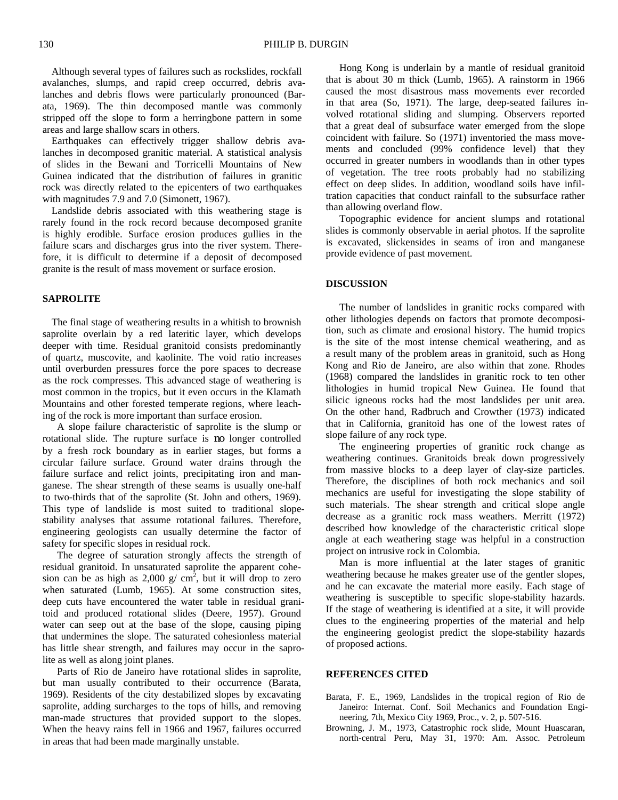Although several types of failures such as rockslides, rockfall avalanches, slumps, and rapid creep occurred, debris avalanches and debris flows were particularly pronounced (Barata, 1969). The thin decomposed mantle was commonly stripped off the slope to form a herringbone pattern in some areas and large shallow scars in others.

Earthquakes can effectively trigger shallow debris avalanches in decomposed granitic material. A statistical analysis of slides in the Bewani and Torricelli Mountains of New Guinea indicated that the distribution of failures in granitic rock was directly related to the epicenters of two earthquakes with magnitudes 7.9 and 7.0 (Simonett, 1967).

Landslide debris associated with this weathering stage is rarely found in the rock record because decomposed granite is highly erodible. Surface erosion produces gullies in the failure scars and discharges grus into the river system. Therefore, it is difficult to determine if a deposit of decomposed granite is the result of mass movement or surface erosion.

## **SAPROLITE**

The final stage of weathering results in a whitish to brownish saprolite overlain by a red lateritic layer, which develops deeper with time. Residual granitoid consists predominantly of quartz, muscovite, and kaolinite. The void ratio increases until overburden pressures force the pore spaces to decrease as the rock compresses. This advanced stage of weathering is most common in the tropics, but it even occurs in the Klamath Mountains and other forested temperate regions, where leaching of the rock is more important than surface erosion.

A slope failure characteristic of saprolite is the slump or rotational slide. The rupture surface is no longer controlled by a fresh rock boundary as in earlier stages, but forms a circular failure surface. Ground water drains through the failure surface and relict joints, precipitating iron and manganese. The shear strength of these seams is usually one-half to two-thirds that of the saprolite (St. John and others, 1969). This type of landslide is most suited to traditional slopestability analyses that assume rotational failures. Therefore, engineering geologists can usually determine the factor of safety for specific slopes in residual rock.

The degree of saturation strongly affects the strength of residual granitoid. In unsaturated saprolite the apparent cohesion can be as high as  $2,000 \text{ g/cm}^2$ , but it will drop to zero when saturated (Lumb, 1965). At some construction sites, deep cuts have encountered the water table in residual granitoid and produced rotational slides (Deere, 1957). Ground water can seep out at the base of the slope, causing piping that undermines the slope. The saturated cohesionless material has little shear strength, and failures may occur in the saprolite as well as along joint planes.

Parts of Rio de Janeiro have rotational slides in saprolite, but man usually contributed to their occurrence (Barata, 1969). Residents of the city destabilized slopes by excavating saprolite, adding surcharges to the tops of hills, and removing man-made structures that provided support to the slopes. When the heavy rains fell in 1966 and 1967, failures occurred in areas that had been made marginally unstable.

Hong Kong is underlain by a mantle of residual granitoid that is about 30 m thick (Lumb, 1965). A rainstorm in 1966 caused the most disastrous mass movements ever recorded in that area (So, 1971). The large, deep-seated failures involved rotational sliding and slumping. Observers reported that a great deal of subsurface water emerged from the slope coincident with failure. So (1971) inventoried the mass movements and concluded (99% confidence level) that they occurred in greater numbers in woodlands than in other types of vegetation. The tree roots probably had no stabilizing effect on deep slides. In addition, woodland soils have infiltration capacities that conduct rainfall to the subsurface rather than allowing overland flow.

Topographic evidence for ancient slumps and rotational slides is commonly observable in aerial photos. If the saprolite is excavated, slickensides in seams of iron and manganese provide evidence of past movement.

## **DISCUSSION**

The number of landslides in granitic rocks compared with other lithologies depends on factors that promote decomposition, such as climate and erosional history. The humid tropics is the site of the most intense chemical weathering, and as a result many of the problem areas in granitoid, such as Hong Kong and Rio de Janeiro, are also within that zone. Rhodes (1968) compared the landslides in granitic rock to ten other lithologies in humid tropical New Guinea. He found that silicic igneous rocks had the most landslides per unit area. On the other hand, Radbruch and Crowther (1973) indicated that in California, granitoid has one of the lowest rates of slope failure of any rock type.

The engineering properties of granitic rock change as weathering continues. Granitoids break down progressively from massive blocks to a deep layer of clay-size particles. Therefore, the disciplines of both rock mechanics and soil mechanics are useful for investigating the slope stability of such materials. The shear strength and critical slope angle decrease as a granitic rock mass weathers. Merritt (1972) described how knowledge of the characteristic critical slope angle at each weathering stage was helpful in a construction project on intrusive rock in Colombia.

Man is more influential at the later stages of granitic weathering because he makes greater use of the gentler slopes, and he can excavate the material more easily. Each stage of weathering is susceptible to specific slope-stability hazards. If the stage of weathering is identified at a site, it will provide clues to the engineering properties of the material and help the engineering geologist predict the slope-stability hazards of proposed actions.

### **REFERENCES CITED**

- Barata, F. E., 1969, Landslides in the tropical region of Rio de Janeiro: Internat. Conf. Soil Mechanics and Foundation Engineering, 7th, Mexico City 1969, Proc., v. 2, p. 507-516.
- Browning, J. M., 1973, Catastrophic rock slide, Mount Huascaran, north-central Peru, May 31, 1970: Am. Assoc. Petroleum